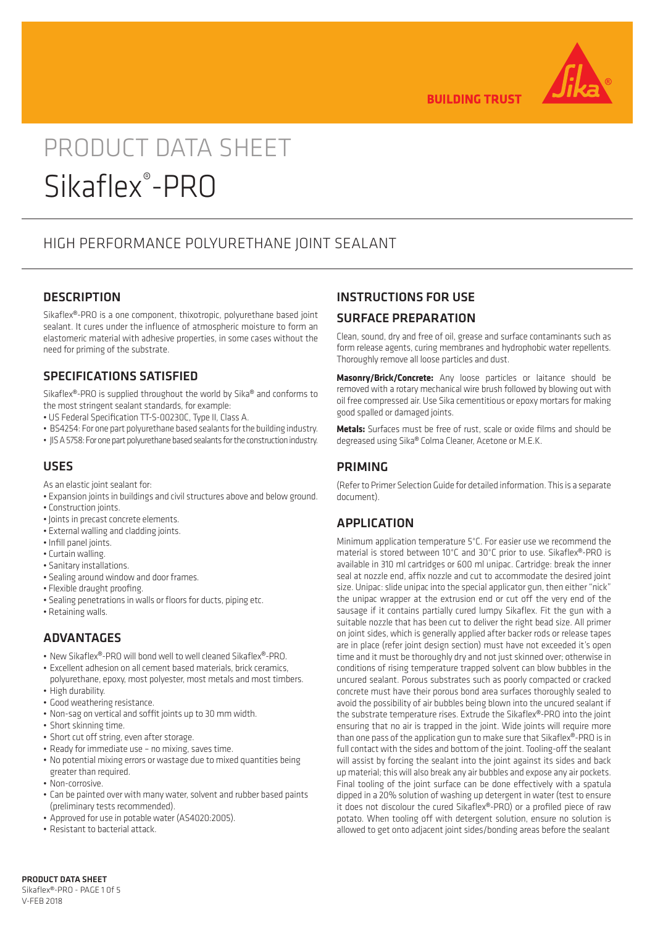

**BUILDING TRUST** 

# PRODUCT DATA SHEET Sikaflex® -PRO

## HIGH PERFORMANCE POLYURETHANE JOINT SEALANT

#### **DESCRIPTION**

Sikaflex®-PRO is a one component, thixotropic, polyurethane based joint sealant. It cures under the influence of atmospheric moisture to form an elastomeric material with adhesive properties, in some cases without the need for priming of the substrate.

#### SPECIFICATIONS SATISFIED

Sikaflex®-PRO is supplied throughout the world by Sika® and conforms to the most stringent sealant standards, for example:

- US Federal Specification TT-S-00230C, Type II, Class A.
- BS4254: For one part polyurethane based sealants for the building industry.
- JIS A 5758: For one part polyurethane based sealants for the construction industry.

#### USES

As an elastic joint sealant for:

- Expansion joints in buildings and civil structures above and below ground.
- Construction joints.
- Joints in precast concrete elements.
- External walling and cladding joints.
- Infill panel joints.
- Curtain walling.
- Sanitary installations.
- Sealing around window and door frames.
- Flexible draught proofing.
- Sealing penetrations in walls or floors for ducts, piping etc.
- Retaining walls.

#### ADVANTAGES

- New Sikaflex®-PRO will bond well to well cleaned Sikaflex®-PRO.
- Excellent adhesion on all cement based materials, brick ceramics,
- polyurethane, epoxy, most polyester, most metals and most timbers. • High durability.
- Good weathering resistance.
- Non-sag on vertical and soffit joints up to 30 mm width.
- Short skinning time.
- Short cut off string, even after storage.
- Ready for immediate use no mixing, saves time.
- No potential mixing errors or wastage due to mixed quantities being greater than required.
- Non-corrosive.
- Can be painted over with many water, solvent and rubber based paints (preliminary tests recommended).
- Approved for use in potable water (AS4020:2005).
- Resistant to bacterial attack.

#### INSTRUCTIONS FOR USE

#### SURFACE PREPARATION

Clean, sound, dry and free of oil, grease and surface contaminants such as form release agents, curing membranes and hydrophobic water repellents. Thoroughly remove all loose particles and dust.

**Masonry/Brick/Concrete:** Any loose particles or laitance should be removed with a rotary mechanical wire brush followed by blowing out with oil free compressed air. Use Sika cementitious or epoxy mortars for making good spalled or damaged joints.

**Metals:** Surfaces must be free of rust, scale or oxide films and should be degreased using Sika® Colma Cleaner, Acetone or M.E.K.

#### PRIMING

(Refer to Primer Selection Guide for detailed information. This is a separate document).

#### APPLICATION

Minimum application temperature 5°C. For easier use we recommend the material is stored between 10°C and 30°C prior to use. Sikaflex®-PRO is available in 310 ml cartridges or 600 ml unipac. Cartridge: break the inner seal at nozzle end, affix nozzle and cut to accommodate the desired joint size. Unipac: slide unipac into the special applicator gun, then either "nick" the unipac wrapper at the extrusion end or cut off the very end of the sausage if it contains partially cured lumpy Sikaflex. Fit the gun with a suitable nozzle that has been cut to deliver the right bead size. All primer on joint sides, which is generally applied after backer rods or release tapes are in place (refer joint design section) must have not exceeded it's open time and it must be thoroughly dry and not just skinned over; otherwise in conditions of rising temperature trapped solvent can blow bubbles in the uncured sealant. Porous substrates such as poorly compacted or cracked concrete must have their porous bond area surfaces thoroughly sealed to avoid the possibility of air bubbles being blown into the uncured sealant if the substrate temperature rises. Extrude the Sikaflex®-PRO into the joint ensuring that no air is trapped in the joint. Wide joints will require more than one pass of the application gun to make sure that Sikaflex®-PRO is in full contact with the sides and bottom of the joint. Tooling-off the sealant will assist by forcing the sealant into the joint against its sides and back up material; this will also break any air bubbles and expose any air pockets. Final tooling of the joint surface can be done effectively with a spatula dipped in a 20% solution of washing up detergent in water (test to ensure it does not discolour the cured Sikaflex®-PRO) or a profiled piece of raw potato. When tooling off with detergent solution, ensure no solution is allowed to get onto adjacent joint sides/bonding areas before the sealant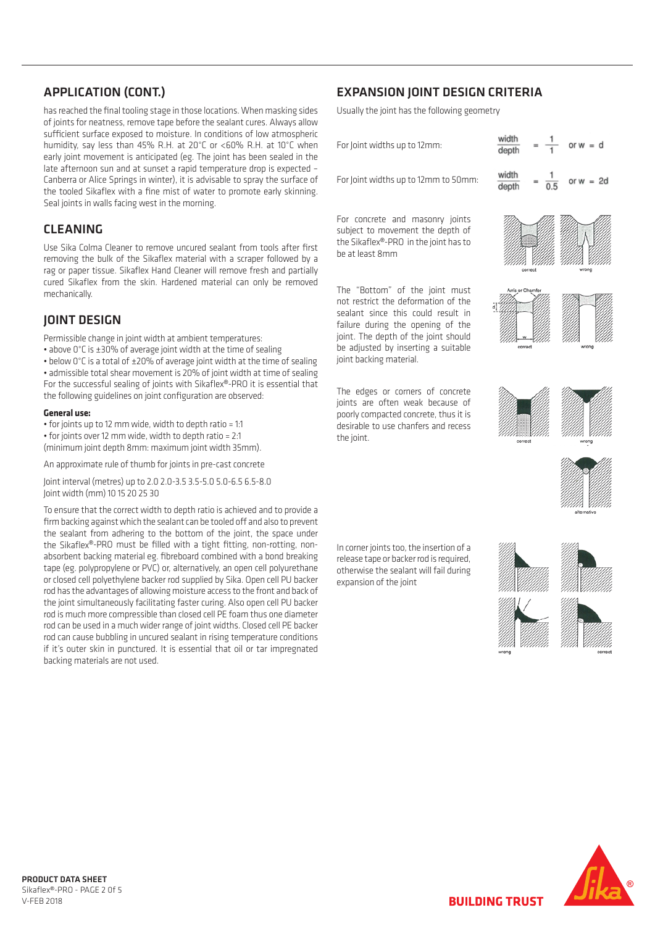#### APPLICATION (CONT.)

has reached the final tooling stage in those locations. When masking sides of joints for neatness, remove tape before the sealant cures. Always allow sufficient surface exposed to moisture. In conditions of low atmospheric humidity, say less than 45% R.H. at 20°C or <60% R.H. at 10°C when early joint movement is anticipated (eg. The joint has been sealed in the late afternoon sun and at sunset a rapid temperature drop is expected – Canberra or Alice Springs in winter), it is advisable to spray the surface of the tooled Sikaflex with a fine mist of water to promote early skinning. The correct width on the correct width on the correct width on the correct width on the correct width on the correct width on the correct width on th Seal joints in walls facing west in the morning. IS. When maski<br>
ant cures. Alwa<br>
0% R.H. at 10°<br>
has been seale<br>
ture drop is exp<br>
to spray the su<br>
to spray the su<br>
promote early s<br>
a scraper follow<br>
nove fresh and<br>
can only be r<br>
and lot can only be r<br>
expact of sealin **Constrained Solventify**<br> **Constrained Solventify**<br> **Constrained Solventify**<br> **Constrained Solventify**<br> **Constrained Solventify**<br> **Constrained Solventify**<br> **Constrained Solventify**<br> **Constrained Solventify**<br> **Constrained S** 

#### CLEANING

#### JOINT DESIGN

#### **General use:**

- for joints up to 12 mm wide, width to depth ratio = 1:1
- for joints over 12 mm wide, width to depth ratio = 2:1

(minimum joint depth 8mm: maximum joint width 35mm).

An approximate rule of thumb for joints in pre-cast concrete

Joint interval (metres) up to 2.0 2.0-3.5 3.5-5.0 5.0-6.5 6.5-8.0 Joint width (mm) 10 15 20 25 30

To ensure that the correct width to depth ratio is achieved and to provide a firm backing against which the sealant can be tooled off and also to prevent the sealant from adhering to the bottom of the joint, the space under the Sikaflex®-PRO must be filled with a tight fitting, non-rotting, nonabsorbent backing material eg. fibreboard combined with a bond breaking tape (eg. polypropylene or PVC) or, alternatively, an open cell polyurethane or closed cell polyethylene backer rod supplied by Sika. Open cell PU backer rod has the advantages of allowing moisture access to the front and back of the joint simultaneously facilitating faster curing. Also open cell PU backer **Technical Data (Typical) Technical Data (Typical)** rod is much more compressible than closed cell PE foam thus one diameter rod can be used in a much wider range of joint widths. Closed cell PE backer rod can cause bubbling in uncured sealant in rising temperature conditions if it's outer skin in punctured. It is essential that oil or tar impregnated backing materials are not used. ca Colma C<br>
mg the bull<br>
Daper tissu<br>
Sikaflex frequencies<br>
Sikaflex frequencies<br>
Intervaly.<br> **C**<sup>o</sup>C is a to<br>
C<sup>o</sup>C is a to<br>
sible total<br>
suscessful<br>
owing guid<br> **I use:**<br>
nts up to 12<br>
um joint de<br>
roximate rus<br>
rus (met For to removathe Sikaflex<br>
the Sikaflex Hann<br>
kaflex Hann<br>
he skin. H<br>
ioint width<br>
f average jo<br>
f ±20% of ar movemer<br>
ling of joint c<br>
in wide, widtl<br>
Smm: max<br>
f thumb for<br>
thich the sea<br>
ering to th<br>
hich the sea<br>
the **NT DES**<br>issible change of C is ±<br>iow 0°C is ±<br>anissible tot<br>insible to the success<br>iollowing guide success<br>iollowing guide suppliers<br>interval (mm<br>insure that the backing agsealant from<br>Sikaflex®-P<br>phent backing agsealant issible chan<br> *Co*  $0^{\circ}C$  is  $\pm 3$ <br> *Co*  $0^{\circ}C$  is  $\pm 3$ <br> *Co*  $0^{\circ}C$  is a tissible tota<br>
issible tota<br>
insible tota<br> **Construction**<br> **Construction**<br> **Construction**<br> **Construction**<br> **Construction**<br> **Construction**<br>

#### EXPANSION JOINT DESIGN CRITERIA  $P$

| <b>APPLICATION (CONT.)</b>                                                                                                                                                                                                                                                               | <b>EXPANSION JOINT DESIGN CRITERIA</b>                                                                 |                          |  |
|------------------------------------------------------------------------------------------------------------------------------------------------------------------------------------------------------------------------------------------------------------------------------------------|--------------------------------------------------------------------------------------------------------|--------------------------|--|
| has reached the final tooling stage in those locations. When masking sides<br>of joints for neatness, remove tape before the sealant cures. Always allow                                                                                                                                 | Usually the joint has the following geometry                                                           |                          |  |
| sufficient surface exposed to moisture. In conditions of low atmospheric<br>humidity, say less than 45% R.H. at 20°C or <60% R.H. at 10°C when<br>early joint movement is anticipated (eg. The joint has been sealed in the                                                              | For Joint widths up to 12mm:                                                                           | width<br>depth           |  |
| late afternoon sun and at sunset a rapid temperature drop is expected -<br>Canberra or Alice Springs in winter), it is advisable to spray the surface of<br>the tooled Sikaflex with a fine mist of water to promote early skinning.<br>Seal joints in walls facing west in the morning. | For Joint widths up to 12mm to 50mm:                                                                   | width<br>$= 2d$<br>depth |  |
| <b>CLEANING</b>                                                                                                                                                                                                                                                                          | For concrete and masonry joints<br>subject to movement the depth of                                    |                          |  |
| Use Sika Colma Cleaner to remove uncured sealant from tools after first<br>removing the bulk of the Sikaflex material with a scraper followed by a<br>rag or paper tissue. Sikaflex Hand Cleaner will remove fresh and partially                                                         | the Sikaflex®-PRO in the joint has to<br>be at least 8mm                                               | correct<br>wrone         |  |
| cured Sikaflex from the skin. Hardened material can only be removed<br>mechanically.                                                                                                                                                                                                     | The "Bottom" of the joint must<br>not restrict the deformation of the                                  | Arris or Chamfe          |  |
| <b>JOINT DESIGN</b>                                                                                                                                                                                                                                                                      | sealant since this could result in<br>failure during the opening of the                                |                          |  |
| Permissible change in joint width at ambient temperatures:<br>• above 0°C is ±30% of average joint width at the time of sealing<br>. below 0°C is a total of ±20% of average joint width at the time of sealing                                                                          | joint. The depth of the joint should<br>be adjusted by inserting a suitable<br>joint backing material. | wrong                    |  |
| · admissible total shear movement is 20% of joint width at time of sealing<br>For the successful sealing of joints with Sikaflex®-PRO it is essential that<br>the following guidelines on joint configuration are observed:                                                              | The edges or corners of concrete<br>joints are often weak because of                                   |                          |  |
| Conoral uco:                                                                                                                                                                                                                                                                             | saaylu samaasatad sansyata itku sitis                                                                  |                          |  |

**Technical Data (Typical)** The edges or corners of concrete joints are often weak because of poorly compacted concrete, thus it is desirable to use chanfers and recess the joint.





punctured. It is essential that oil or tar impregnated backing materials are not

much widths. Close of joint widths. Close cell PE backer range of joint widths. Close can can call PE backer ro

**Colours** expansion of the joint otherwise the sealant will fail during **Collours and prepare prepared in the sealant** will fail during release tape or backer rod is required,



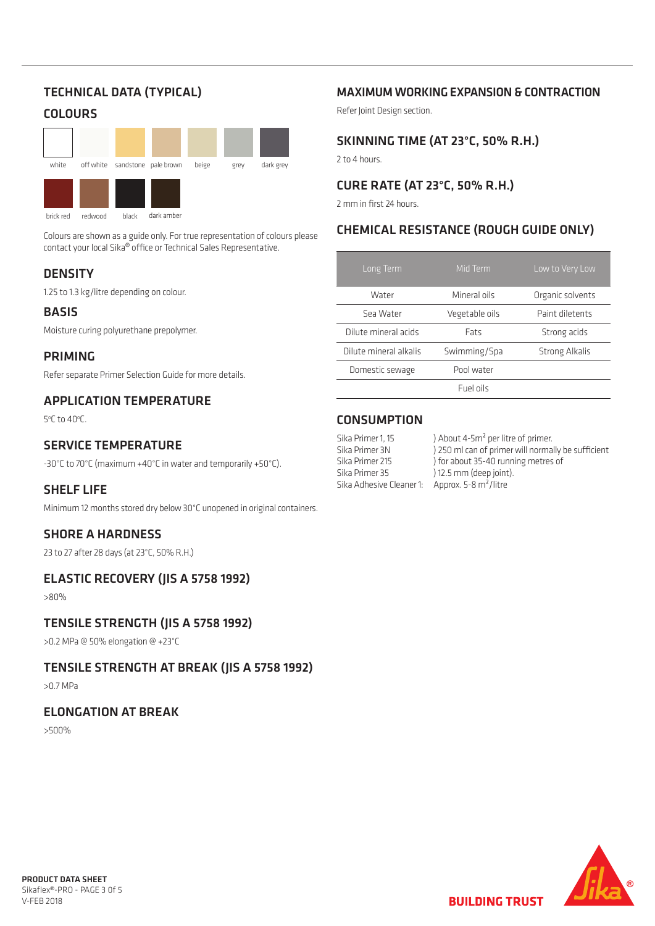## TECHNICAL DATA (TYPICAL)

## **COLOURS**



brick red redwood black dark amber

Colours are shown as a guide only. For true representation of colours please contact your local Sika® office or Technical Sales Representative.

### **DENSITY**

1.25 to 1.3 kg/litre depending on colour.

#### BASIS

Moisture curing polyurethane prepolymer.

#### PRIMING

Refer separate Primer Selection Guide for more details.

#### APPLICATION TEMPERATURE

5°C to 40°C.

#### SERVICE TEMPERATURE

-30°C to 70°C (maximum +40°C in water and temporarily +50°C).

#### SHELF LIFE

Minimum 12 months stored dry below 30°C unopened in original containers.

#### SHORE A HARDNESS

23 to 27 after 28 days (at 23°C, 50% R.H.)

#### ELASTIC RECOVERY (JIS A 5758 1992)

>80%

#### TENSILE STRENGTH (JIS A 5758 1992)

>0.2 MPa @ 50% elongation @ +23°C

#### TENSILE STRENGTH AT BREAK (JIS A 5758 1992)

>0.7 MPa

#### ELONGATION AT BREAK

>500%

#### MAXIMUM WORKING EXPANSION & CONTRACTION

Refer Joint Design section.

#### SKINNING TIME (AT 23°C, 50% R.H.)

2 to 4 hours.

#### CURE RATE (AT 23°C, 50% R.H.)

2 mm in first 24 hours.

#### CHEMICAL RESISTANCE (ROUGH GUIDE ONLY)

| Long Term              | Mid Term       | Low to Very Low       |
|------------------------|----------------|-----------------------|
| Water                  | Mineral oils   | Organic solvents      |
| Sea Water              | Vegetable oils | Paint diletents       |
| Dilute mineral acids   | <b>Fats</b>    | Strong acids          |
| Dilute mineral alkalis | Swimming/Spa   | <b>Strong Alkalis</b> |
| Domestic sewage        | Pool water     |                       |
|                        | Fuel oils      |                       |

#### **CONSUMPTION**

Sika Primer 35 ) 12.5 mm (deep joint). Sika Adhesive Cleaner 1: Approx. 5-8 m<sup>2</sup>/litre

Sika Primer 1, 15 ) About 4-5m<sup>2</sup> per litre of primer. Sika Primer 3N ) 250 ml can of primer will normally be sufficient Sika Primer 215 ) for about 35-40 running metres of

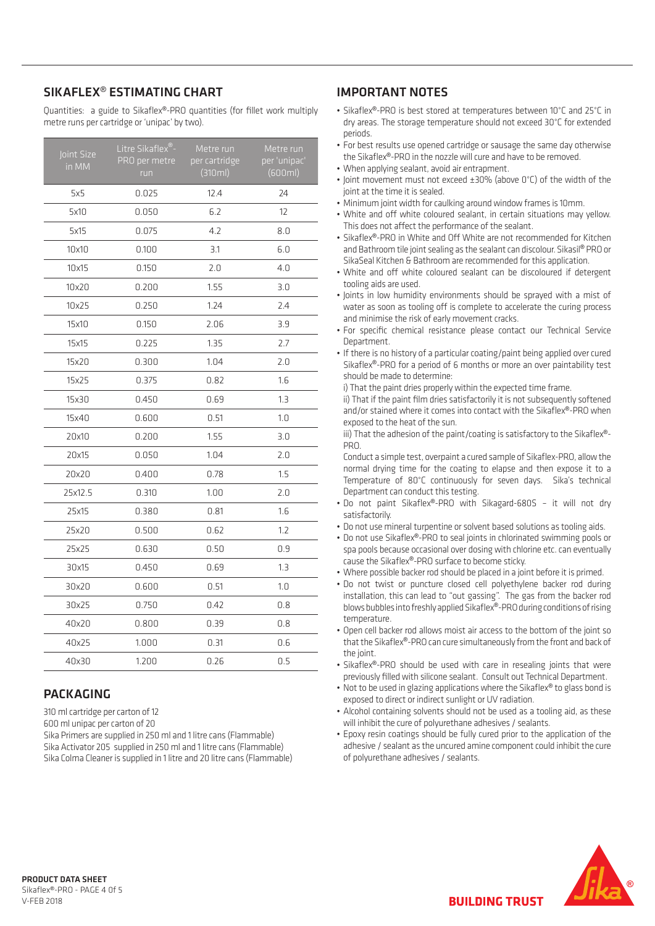#### SIKAFLEX® ESTIMATING CHART

Quantities: a guide to Sikaflex®-PRO quantities (for fillet work multiply metre runs per cartridge or 'unipac' by two).

| Joint Size<br>in MM | Litre Sikaflex®-<br>PRO per metre<br>run | Metre run<br>per cartridge<br>(310ml) | Metre run<br>per 'unipac'<br>(600ml) |
|---------------------|------------------------------------------|---------------------------------------|--------------------------------------|
| 5x5                 | 0.025                                    | 12.4                                  | 24                                   |
| 5x10                | 0.050                                    | 6.2                                   | 12                                   |
| 5x15                | 0.075                                    | 4.2                                   | 8.0                                  |
| 10x10               | 0.100                                    | 3.1                                   | 6.0                                  |
| 10x15               | 0.150                                    | 2.0                                   | 4.0                                  |
| 10x20               | 0.200                                    | 1.55                                  | 3.0                                  |
| 10x25               | 0.250                                    | 1.24                                  | 2.4                                  |
| 15x10               | 0.150                                    | 2.06                                  | 3.9                                  |
| 15x15               | 0.225                                    | 1.35                                  | 2.7                                  |
| 15x20               | 0.300                                    | 1.04                                  | 2.0                                  |
| 15x25               | 0.375                                    | 0.82                                  | 1.6                                  |
| 15x30               | 0.450                                    | 0.69                                  | 1.3                                  |
| 15x40               | 0.600                                    | 0.51                                  | 1.0                                  |
| 20x10               | 0.200                                    | 1.55                                  | 3.0                                  |
| 20x15               | 0.050                                    | 1.04                                  | 2.0                                  |
| 20x20               | 0.400                                    | 0.78                                  | 1.5                                  |
| 25x12.5             | 0.310                                    | 1.00                                  | 2.0                                  |
| 25x15               | 0.380                                    | 0.81                                  | 1.6                                  |
| 25x20               | 0.500                                    | 0.62                                  | 1.2                                  |
| 25x25               | 0.630                                    | 0.50                                  | 0.9                                  |
| 30x15               | 0.450                                    | 0.69                                  | 1.3                                  |
| 30x20               | 0.600                                    | 0.51                                  | 1.0                                  |
| 30x25               | 0.750                                    | 0.42                                  | 0.8                                  |
| 40x20               | 0.800                                    | 0.39                                  | 0.8                                  |
| 40x25               | 1.000                                    | 0.31                                  | 0.6                                  |
| 40x30               | 1.200                                    | 0.26                                  | 0.5                                  |

#### **PACKAGING**

310 ml cartridge per carton of 12

600 ml unipac per carton of 20

Sika Primers are supplied in 250 ml and 1 litre cans (Flammable) Sika Activator 205 supplied in 250 ml and 1 litre cans (Flammable) Sika Colma Cleaner is supplied in 1 litre and 20 litre cans (Flammable)

#### IMPORTANT NOTES

- Sikaflex®-PRO is best stored at temperatures between 10°C and 25°C in dry areas. The storage temperature should not exceed 30°C for extended periods.
- For best results use opened cartridge or sausage the same day otherwise the Sikaflex®-PRO in the nozzle will cure and have to be removed.
- When applying sealant, avoid air entrapment.
- Joint movement must not exceed ±30% (above 0°C) of the width of the joint at the time it is sealed.
- Minimum joint width for caulking around window frames is 10mm.
- White and off white coloured sealant, in certain situations may yellow. This does not affect the performance of the sealant.
- Sikaflex®-PRO in White and Off White are not recommended for Kitchen and Bathroom tile joint sealing as the sealant can discolour. Sikasil<sup>®</sup> PRO or SikaSeal Kitchen & Bathroom are recommended for this application.
- White and off white coloured sealant can be discoloured if detergent tooling aids are used.
- Joints in low humidity environments should be sprayed with a mist of water as soon as tooling off is complete to accelerate the curing process and minimise the risk of early movement cracks.
- For specific chemical resistance please contact our Technical Service Department.
- If there is no history of a particular coating/paint being applied over cured Sikaflex®-PRO for a period of 6 months or more an over paintability test should be made to determine:

i) That the paint dries properly within the expected time frame.

ii) That if the paint film dries satisfactorily it is not subsequently softened and/or stained where it comes into contact with the Sikaflex®-PRO when exposed to the heat of the sun.

iii) That the adhesion of the paint/coating is satisfactory to the Sikaflex®- PRO.

Conduct a simple test, overpaint a cured sample of Sikaflex-PRO, allow the normal drying time for the coating to elapse and then expose it to a Temperature of 80°C continuously for seven days. Sika's technical Department can conduct this testing.

- Do not paint Sikaflex®-PRO with Sikagard-680S it will not dry satisfactorily.
- Do not use mineral turpentine or solvent based solutions as tooling aids.
- Do not use Sikaflex<sup>®</sup>-PRO to seal joints in chlorinated swimming pools or spa pools because occasional over dosing with chlorine etc. can eventually cause the Sikaflex®-PRO surface to become sticky.
- Where possible backer rod should be placed in a joint before it is primed.
- Do not twist or puncture closed cell polyethylene backer rod during installation, this can lead to "out gassing". The gas from the backer rod blows bubbles into freshly applied Sikaflex®-PRO during conditions of rising temperature.
- Open cell backer rod allows moist air access to the bottom of the joint so that the Sikaflex®-PRO can cure simultaneously from the front and back of the joint.
- Sikaflex<sup>®</sup>-PRO should be used with care in resealing joints that were previously filled with silicone sealant. Consult out Technical Department.
- Not to be used in glazing applications where the Sikaflex® to glass bond is exposed to direct or indirect sunlight or UV radiation.
- Alcohol containing solvents should not be used as a tooling aid, as these will inhibit the cure of polyurethane adhesives / sealants.
- Epoxy resin coatings should be fully cured prior to the application of the adhesive / sealant as the uncured amine component could inhibit the cure of polyurethane adhesives / sealants.